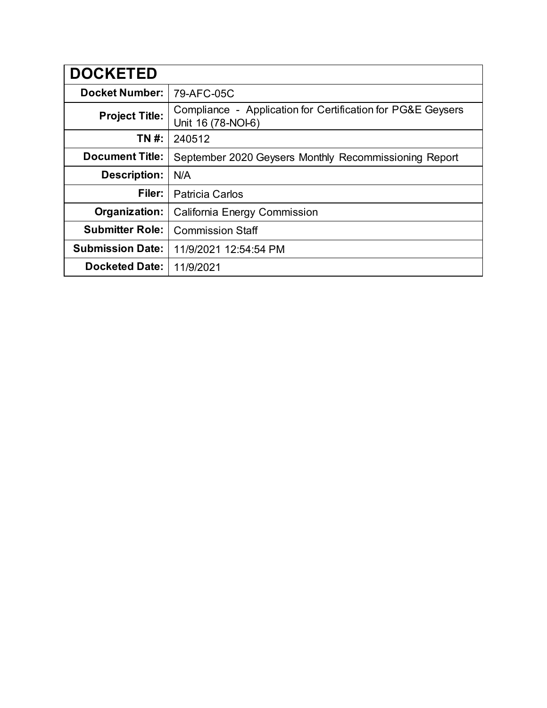| <b>DOCKETED</b>         |                                                                                   |
|-------------------------|-----------------------------------------------------------------------------------|
| <b>Docket Number:</b>   | 79-AFC-05C                                                                        |
| <b>Project Title:</b>   | Compliance - Application for Certification for PG&E Geysers<br>Unit 16 (78-NOI-6) |
| TN #:                   | 240512                                                                            |
| <b>Document Title:</b>  | September 2020 Geysers Monthly Recommissioning Report                             |
| <b>Description:</b>     | N/A                                                                               |
| Filer:                  | <b>Patricia Carlos</b>                                                            |
| Organization:           | <b>California Energy Commission</b>                                               |
| <b>Submitter Role:</b>  | <b>Commission Staff</b>                                                           |
| <b>Submission Date:</b> | 11/9/2021 12:54:54 PM                                                             |
| <b>Docketed Date:</b>   | 11/9/2021                                                                         |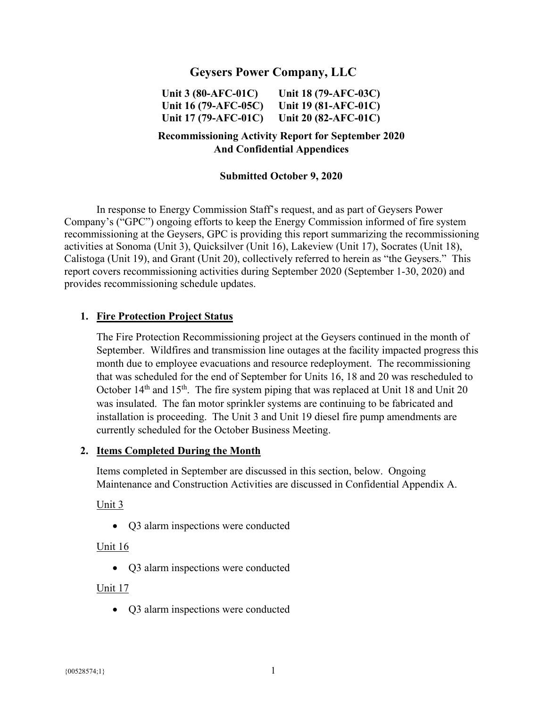# **Geysers Power Company, LLC**

**Unit 3 (80-AFC-01C) Unit 16 (79-AFC-05C) Unit 17 (79-AFC-01C) Unit 18 (79-AFC-03C) Unit 19 (81-AFC-01C) Unit 20 (82-AFC-01C)** 

## **Recommissioning Activity Report for September 2020 And Confidential Appendices**

#### **Submitted October 9, 2020**

In response to Energy Commission Staff's request, and as part of Geysers Power Company's ("GPC") ongoing efforts to keep the Energy Commission informed of fire system recommissioning at the Geysers, GPC is providing this report summarizing the recommissioning activities at Sonoma (Unit 3), Quicksilver (Unit 16), Lakeview (Unit 17), Socrates (Unit 18), Calistoga (Unit 19), and Grant (Unit 20), collectively referred to herein as "the Geysers." This report covers recommissioning activities during September 2020 (September 1-30, 2020) and provides recommissioning schedule updates.

#### **1. Fire Protection Project Status**

The Fire Protection Recommissioning project at the Geysers continued in the month of September. Wildfires and transmission line outages at the facility impacted progress this month due to employee evacuations and resource redeployment. The recommissioning that was scheduled for the end of September for Units 16, 18 and 20 was rescheduled to October  $14<sup>th</sup>$  and  $15<sup>th</sup>$ . The fire system piping that was replaced at Unit 18 and Unit 20 was insulated. The fan motor sprinkler systems are continuing to be fabricated and installation is proceeding. The Unit 3 and Unit 19 diesel fire pump amendments are currently scheduled for the October Business Meeting.

#### **2. Items Completed During the Month**

Items completed in September are discussed in this section, below. Ongoing Maintenance and Construction Activities are discussed in Confidential Appendix A.

Unit  $3$ 

Q3 alarm inspections were conducted

#### Unit 16

Q3 alarm inspections were conducted

#### Unit 17

Q3 alarm inspections were conducted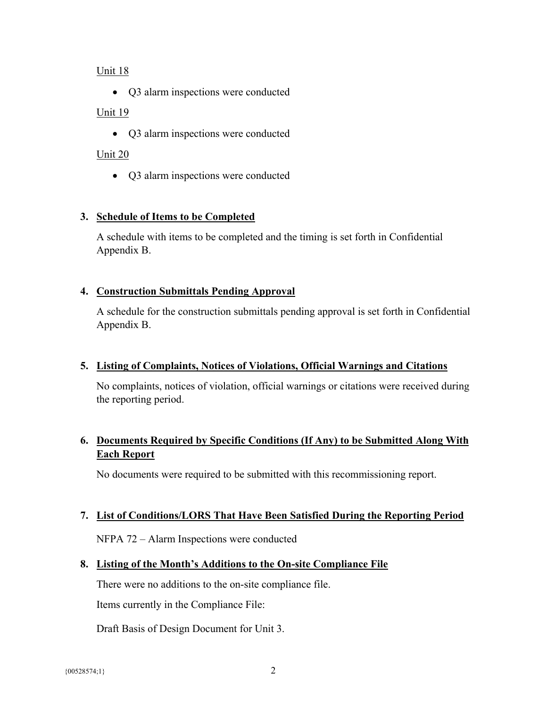#### Unit 18

• Q3 alarm inspections were conducted

### Unit 19

• Q3 alarm inspections were conducted

# Unit 20

• Q3 alarm inspections were conducted

# **3. Schedule of Items to be Completed**

A schedule with items to be completed and the timing is set forth in Confidential Appendix B.

# **4. Construction Submittals Pending Approval**

A schedule for the construction submittals pending approval is set forth in Confidential Appendix B.

### **5. Listing of Complaints, Notices of Violations, Official Warnings and Citations**

No complaints, notices of violation, official warnings or citations were received during the reporting period.

# **6. Documents Required by Specific Conditions (If Any) to be Submitted Along With Each Report**

No documents were required to be submitted with this recommissioning report.

### **7. List of Conditions/LORS That Have Been Satisfied During the Reporting Period**

NFPA 72 – Alarm Inspections were conducted

### **8. Listing of the Month's Additions to the On-site Compliance File**

There were no additions to the on-site compliance file.

Items currently in the Compliance File:

Draft Basis of Design Document for Unit 3.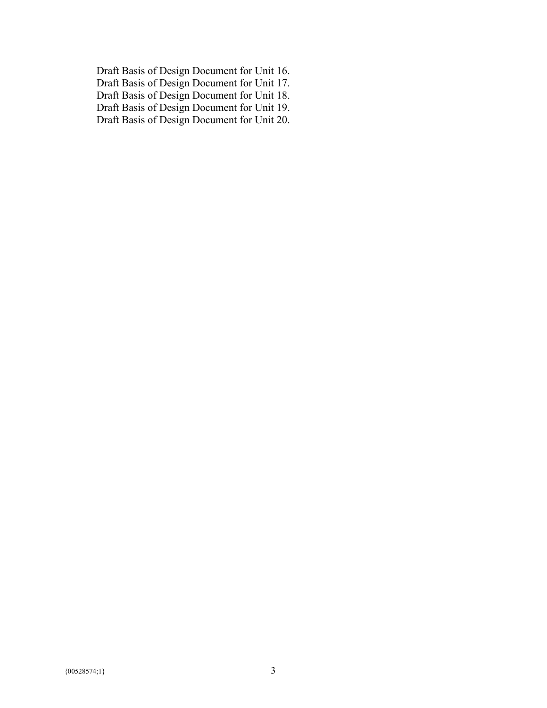Draft Basis of Design Document for Unit 16. Draft Basis of Design Document for Unit 17. Draft Basis of Design Document for Unit 18. Draft Basis of Design Document for Unit 19. Draft Basis of Design Document for Unit 20.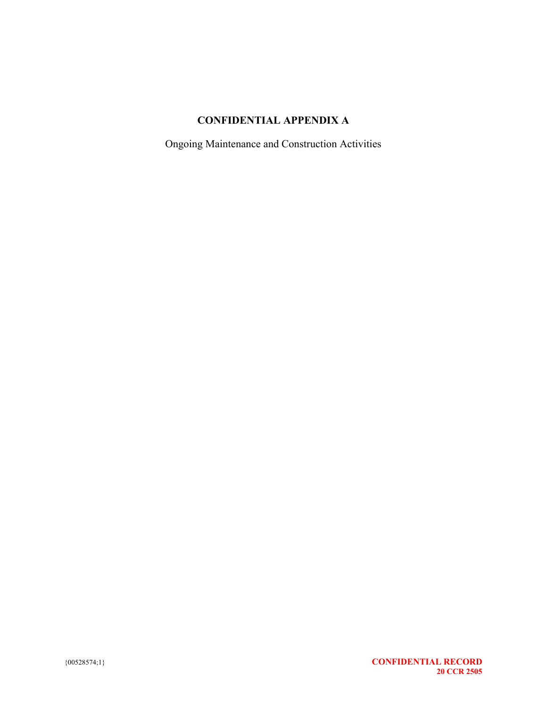# **CONFIDENTIAL APPENDIX A**

Ongoing Maintenance and Construction Activities